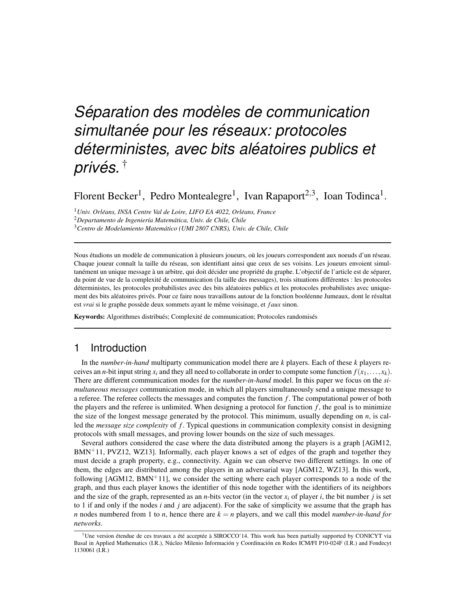# *Séparation des modèles de communication*  $simultanée pour les réseaux: protocols$ *deterministes, avec bits al ´ eatoires publics et ´ prives. ´* †

Florent Becker<sup>1</sup>, Pedro Montealegre<sup>1</sup>, Ivan Rapaport<sup>2,3</sup>, Ioan Todinca<sup>1</sup>.

<sup>1</sup> Univ. Orléans, INSA Centre Val de Loire, LIFO EA 4022, Orléans, France <sup>2</sup>*Departamento de Ingenier´ıa Matematica, Univ. de Chile, Chile ´* <sup>3</sup>*Centro de Modelamiento Matematico (UMI 2807 CNRS), Univ. de Chile, Chile ´*

Nous étudions un modèle de communication à plusieurs joueurs, où les joueurs correspondent aux noeuds d'un réseau. Chaque joueur connaît la taille du réseau, son identifiant ainsi que ceux de ses voisins. Les joueurs envoient simultanément un unique message à un arbitre, qui doit décider une propriété du graphe. L'objectif de l'article est de séparer, du point de vue de la complexité de communication (la taille des messages), trois situations différentes : les protocoles déterministes, les protocoles probabilistes avec des bits aléatoires publics et les protocoles probabilistes avec uniquement des bits aléatoires privés. Pour ce faire nous travaillons autour de la fonction booléenne Jumeaux, dont le résultat est *vrai* si le graphe possède deux sommets ayant le même voisinage, et *f aux* sinon.

Keywords: Algorithmes distribués; Complexité de communication; Protocoles randomisés

## 1 Introduction

In the *number-in-hand* multiparty communication model there are *k* players. Each of these *k* players receives an *n*-bit input string  $x_i$  and they all need to collaborate in order to compute some function  $f(x_1,...,x_k)$ . There are different communication modes for the *number-in-hand* model. In this paper we focus on the *simultaneous messages* communication mode, in which all players simultaneously send a unique message to a referee. The referee collects the messages and computes the function *f* . The computational power of both the players and the referee is unlimited. When designing a protocol for function  $f$ , the goal is to minimize the size of the longest message generated by the protocol. This minimum, usually depending on *n*, is called the *message size complexity* of *f* . Typical questions in communication complexity consist in designing protocols with small messages, and proving lower bounds on the size of such messages.

Several authors considered the case where the data distributed among the players is a graph [AGM12,  $BMN<sup>+</sup>11$ , PVZ12, WZ13]. Informally, each player knows a set of edges of the graph and together they must decide a graph property, e.g., connectivity. Again we can observe two different settings. In one of them, the edges are distributed among the players in an adversarial way [AGM12, WZ13]. In this work, following  $[AGM12, BMN+11]$ , we consider the setting where each player corresponds to a node of the graph, and thus each player knows the identifier of this node together with the identifiers of its neighbors and the size of the graph, represented as an *n*-bits vector (in the vector  $x_i$  of player *i*, the bit number *j* is set to 1 if and only if the nodes *i* and *j* are adjacent). For the sake of simplicity we assume that the graph has *n* nodes numbered from 1 to *n*, hence there are  $k = n$  players, and we call this model *number-in-hand for networks*.

<sup>&</sup>lt;sup>†</sup>Une version étendue de ces travaux a été acceptée à SIROCCO'14. This work has been partially supported by CONICYT via Basal in Applied Mathematics (I.R.), Núcleo Milenio Información y Coordinación en Redes ICM/FI P10-024F (I.R.) and Fondecyt 1130061 (I.R.)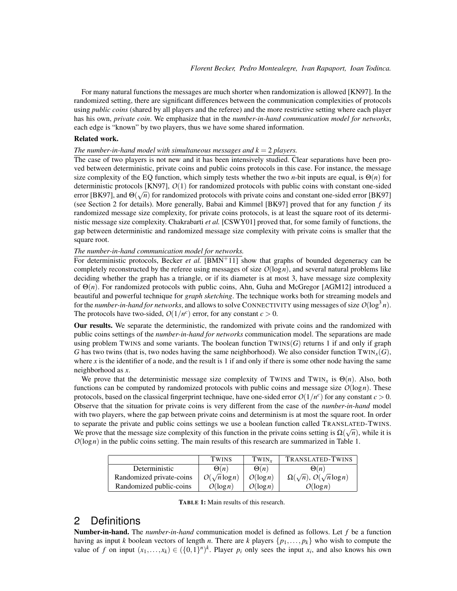For many natural functions the messages are much shorter when randomization is allowed [KN97]. In the randomized setting, there are significant differences between the communication complexities of protocols using *public coins* (shared by all players and the referee) and the more restrictive setting where each player has his own, *private coin*. We emphasize that in the *number-in-hand communication model for networks*, each edge is "known" by two players, thus we have some shared information.

#### Related work.

#### *The number-in-hand model with simultaneous messages and*  $k = 2$  *players.*

The case of two players is not new and it has been intensively studied. Clear separations have been proved between deterministic, private coins and public coins protocols in this case. For instance, the message size complexity of the EQ function, which simply tests whether the two *n*-bit inputs are equal, is  $\Theta(n)$  for deterministic protocols [KN97], *O*(1) for randomized protocols with public coins with constant one-sided<br>√√√√√√√√√√√√√√√√√√√ error [BK97], and  $\Theta(\sqrt{n})$  for randomized protocols with private coins and constant one-sided error [BK97] (see Section 2 for details). More generally, Babai and Kimmel [BK97] proved that for any function *f* its randomized message size complexity, for private coins protocols, is at least the square root of its deterministic message size complexity. Chakrabarti *et al.* [CSWY01] proved that, for some family of functions, the gap between deterministic and randomized message size complexity with private coins is smaller that the square root.

#### *The number-in-hand communication model for networks.*

For deterministic protocols, Becker *et al.* [BMN<sup>+11]</sup> show that graphs of bounded degeneracy can be completely reconstructed by the referee using messages of size  $O(log n)$ , and several natural problems like deciding whether the graph has a triangle, or if its diameter is at most 3, have message size complexity of Θ(*n*). For randomized protocols with public coins, Ahn, Guha and McGregor [AGM12] introduced a beautiful and powerful technique for *graph sketching*. The technique works both for streaming models and for the *number-in-hand for networks*, and allows to solve CONNECTIVITY using messages of size  $O(\log^3 n)$ . The protocols have two-sided,  $O(1/n^c)$  error, for any constant  $c > 0$ .

Our results. We separate the deterministic, the randomized with private coins and the randomized with public coins settings of the *number-in-hand for networks* communication model. The separations are made using problem TWINS and some variants. The boolean function  $TWINS(G)$  returns 1 if and only if graph *G* has two twins (that is, two nodes having the same neighborhood). We also consider function  $TWIN<sub>x</sub>(G)$ , where *x* is the identifier of a node, and the result is 1 if and only if there is some other node having the same neighborhood as *x*.

We prove that the deterministic message size complexity of TWINS and TWIN<sub>x</sub> is  $\Theta(n)$ . Also, both functions can be computed by randomized protocols with public coins and message size *O*(log*n*). These protocols, based on the classical fingerprint technique, have one-sided error  $O(1/n^c)$  for any constant  $c > 0$ . Observe that the situation for private coins is very different from the case of the *number-in-hand* model with two players, where the gap between private coins and determinism is at most the square root. In order to separate the private and public coins settings we use a boolean function called TRANSLATED-TWINS. We prove that the message size complexity of this function in the private coins setting is  $\Omega(\sqrt{n})$ , while it is *O*(log*n*) in the public coins setting. The main results of this research are summarized in Table 1.

|                          | TWINS               | TWIN <sub>r</sub> | TRANSLATED-TWINS                                |
|--------------------------|---------------------|-------------------|-------------------------------------------------|
| Deterministic            | $\Theta(n)$         | $\Theta(n)$       | $\Theta(n)$                                     |
| Randomized private-coins | $O(\sqrt{n}\log n)$ | $O(\log n)$       | $\Omega(\sqrt{n}), \mathcal{O}(\sqrt{n}\log n)$ |
| Randomized public-coins  | $O(\log n)$         | $O(\log n)$       | $O(\log n)$                                     |

TABLE 1: Main results of this research.

## 2 Definitions

Number-in-hand. The *number-in-hand* communication model is defined as follows. Let *f* be a function having as input *k* boolean vectors of length *n*. There are *k* players {*p*1,..., *pk*} who wish to compute the value of *f* on input  $(x_1,...,x_k) \in (\{0,1\}^n)^k$ . Player  $p_i$  only sees the input  $x_i$ , and also knows his own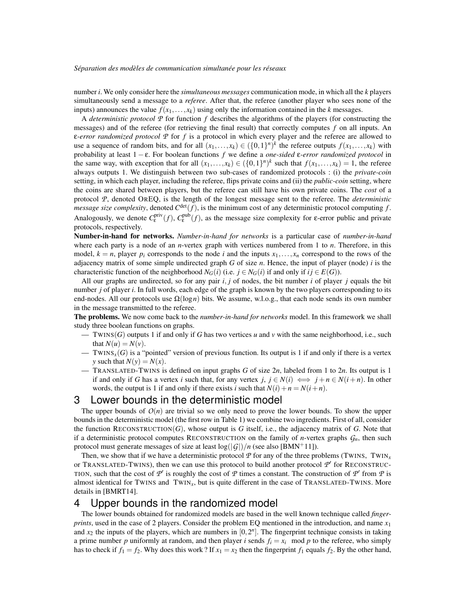number *i*. We only consider here the *simultaneous messages* communication mode, in which all the *k* players simultaneously send a message to a *referee*. After that, the referee (another player who sees none of the inputs) announces the value  $f(x_1,...,x_k)$  using only the information contained in the *k* messages.

A *deterministic protocol*  $P$  for function  $f$  describes the algorithms of the players (for constructing the messages) and of the referee (for retrieving the final result) that correctly computes *f* on all inputs. An ε*-error randomized protocol P* for *f* is a protocol in which every player and the referee are allowed to use a sequence of random bits, and for all  $(x_1,...,x_k) \in (\{0,1\}^n)^k$  the referee outputs  $f(x_1,...,x_k)$  with probability at least 1 − ε. For boolean functions *f* we define a *one-sided* ε*-error randomized protocol* in the same way, with exception that for all  $(x_1,...,x_k) \in (\{0,1\}^n)^k$  such that  $f(x_1,...,x_k) = 1$ , the referee always outputs 1. We distinguish between two sub-cases of randomized protocols : (i) the *private-coin* setting, in which each player, including the referee, flips private coins and (ii) the *public-coin* setting, where the coins are shared between players, but the referee can still have his own private coins. The *cost* of a protocol *P*, denoted OREQ, is the length of the longest message sent to the referee. The *deterministic message size complexity*, denoted  $C^{\text{det}}(f)$ , is the minimum cost of any deterministic protocol computing f. Analogously, we denote  $C_{\varepsilon}^{priv}(f)$ ,  $C_{\varepsilon}^{pub}(f)$ , as the message size complexity for  $\varepsilon$ -error public and private protocols, respectively.

Number-in-hand for networks. *Number-in-hand for networks* is a particular case of *number-in-hand* where each party is a node of an *n*-vertex graph with vertices numbered from 1 to *n*. Therefore, in this model,  $k = n$ , player  $p_i$  corresponds to the node *i* and the inputs  $x_1, \ldots, x_n$  correspond to the rows of the adjacency matrix of some simple undirected graph *G* of size *n*. Hence, the input of player (node) *i* is the characteristic function of the neighborhood  $N_G(i)$  (i.e.  $j \in N_G(i)$  if and only if  $ij \in E(G)$ ).

All our graphs are undirected, so for any pair *i*, *j* of nodes, the bit number *i* of player *j* equals the bit number *j* of player *i*. In full words, each edge of the graph is known by the two players corresponding to its end-nodes. All our protocols use  $\Omega(\log n)$  bits. We assume, w.l.o.g., that each node sends its own number in the message transmitted to the referee.

The problems. We now come back to the *number-in-hand for networks* model. In this framework we shall study three boolean functions on graphs.

- TWINS(*G*) outputs 1 if and only if *G* has two vertices *u* and *v* with the same neighborhood, i.e., such that  $N(u) = N(v)$ .
- TWINS<sub>*x*</sub>(*G*) is a "pointed" version of previous function. Its output is 1 if and only if there is a vertex *y* such that  $N(y) = N(x)$ .
- TRANSLATED-TWINS is defined on input graphs *G* of size 2*n*, labeled from 1 to 2*n*. Its output is 1 if and only if *G* has a vertex *i* such that, for any vertex *j*,  $j \in N(i) \iff j + n \in N(i+n)$ . In other words, the output is 1 if and only if there exists *i* such that  $N(i) + n = N(i + n)$ .

## 3 Lower bounds in the deterministic model

The upper bounds of  $O(n)$  are trivial so we only need to prove the lower bounds. To show the upper bounds in the deterministic model (the first row in Table 1) we combine two ingredients. First of all, consider the function RECONSTRUCTION( $G$ ), whose output is  $G$  itself, i.e., the adjacency matrix of  $G$ . Note that if a deterministic protocol computes RECONSTRUCTION on the family of *n*-vertex graphs  $G_n$ , then such protocol must generate messages of size at least  $log(|G|)/n$  (see also [BMN<sup>+</sup>11]).

Then, we show that if we have a deterministic protocol  $P$  for any of the three problems (TWINS, TWIN<sub>X</sub> or TRANSLATED-TWINS), then we can use this protocol to build another protocol  $P'$  for RECONSTRUC-TION, such that the cost of  $P'$  is roughly the cost of  $P$  times a constant. The construction of  $P'$  from  $P$  is almost identical for TWINS and  $TWIN_x$ , but is quite different in the case of TRANSLATED-TWINS. More details in [BMRT14].

## 4 Upper bounds in the randomized model

The lower bounds obtained for randomized models are based in the well known technique called *fingerprints*, used in the case of 2 players. Consider the problem EQ mentioned in the introduction, and name *x*<sup>1</sup> and  $x_2$  the inputs of the players, which are numbers in  $[0, 2^n]$ . The fingerprint technique consists in taking a prime number *p* uniformly at random, and then player *i* sends  $f_i = x_i \mod p$  to the referee, who simply has to check if  $f_1 = f_2$ . Why does this work? If  $x_1 = x_2$  then the fingerprint  $f_1$  equals  $f_2$ . By the other hand,